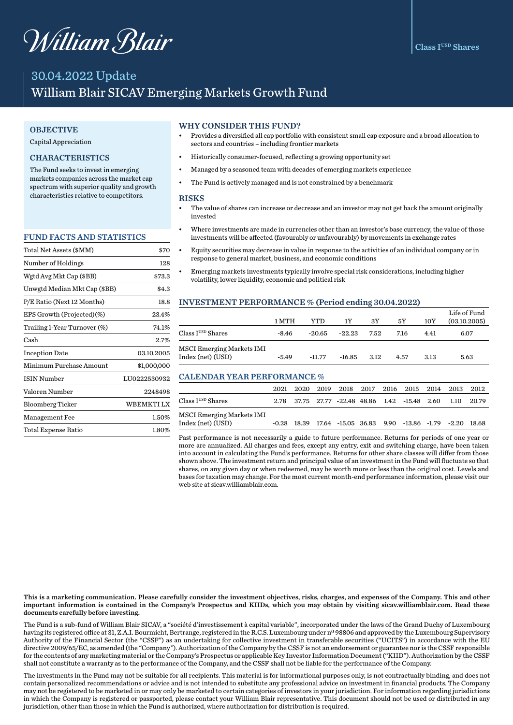# William Blair

# 30.04.2022 Update William Blair SICAV Emerging Markets Growth Fund

#### **OBJECTIVE**

#### Capital Appreciation

#### **CHARACTERISTICS**

The Fund seeks to invest in emerging markets companies across the market cap spectrum with superior quality and growth characteristics relative to competitors.

#### FUND FACTS AND STATISTICS

| Total Net Assets (\$MM)      | \$70         |
|------------------------------|--------------|
| Number of Holdings           | 128          |
| Wgtd Avg Mkt Cap (\$BB)      | \$73.3       |
| Unwgtd Median Mkt Cap (\$BB) | \$4.3        |
| P/E Ratio (Next 12 Months)   | 18.8         |
| EPS Growth (Projected)(%)    | 23.4%        |
| Trailing 1-Year Turnover (%) | 74.1%        |
| Cash                         | 2.7%         |
| <b>Inception Date</b>        | 03.10.2005   |
| Minimum Purchase Amount      | \$1,000,000  |
| <b>ISIN Number</b>           | LU0222530932 |
| Valoren Number               | 2248498      |
| <b>Bloomberg Ticker</b>      | WBEMKTI LX   |
| <b>Management Fee</b>        | 1.50%        |
| Total Expense Ratio          | 1.80%        |

#### WHY CONSIDER THIS FUND?

- Provides a diversified all cap portfolio with consistent small cap exposure and a broad allocation to sectors and countries – including frontier markets
- Historically consumer-focused, reflecting a growing opportunity set
- Managed by a seasoned team with decades of emerging markets experience
- The Fund is actively managed and is not constrained by a benchmark

#### **RISKS**

- The value of shares can increase or decrease and an investor may not get back the amount originally invested
- Where investments are made in currencies other than an investor's base currency, the value of those investments will be affected (favourably or unfavourably) by movements in exchange rates
- Equity securities may decrease in value in response to the activities of an individual company or in response to general market, business, and economic conditions
- Emerging markets investments typically involve special risk considerations, including higher volatility, lower liquidity, economic and political risk

#### INVESTMENT PERFORMANCE % (Period ending 30.04.2022)

|                                                       | 1 MTH   | YTD      | 1Y       | 3Y   | 5Υ   | 10Y  | Life of Fund<br>(03.10.2005) |
|-------------------------------------------------------|---------|----------|----------|------|------|------|------------------------------|
| Class I <sup>USD</sup> Shares                         | $-8.46$ | $-20.65$ | $-22.23$ | 7.52 | 7.16 | 4.41 | 6.07                         |
| <b>MSCI Emerging Markets IMI</b><br>Index (net) (USD) | $-5.49$ | $-11.77$ | $-16.85$ | 3.12 | 4.57 | 3.13 | 5.63                         |

#### CALENDAR YEAR PERFORMANCE %

|                                                | 2021 |  |  | 2020 2019 2018 2017 2016 2015 2014 2013                                |        | 2012  |
|------------------------------------------------|------|--|--|------------------------------------------------------------------------|--------|-------|
| $\rm Class\,I^{USD}\,Shares$                   |      |  |  | 2.78 37.75 27.77 -22.48 48.86 1.42 -15.48 2.60                         | -1.10- | 20.79 |
| MSCI Emerging Markets IMI<br>Index (net) (USD) |      |  |  | $-0.28$ 18.39 17.64 $-15.05$ 36.83 9.90 $-13.86$ $-1.79$ $-2.20$ 18.68 |        |       |

Past performance is not necessarily a guide to future performance. Returns for periods of one year or more are annualized. All charges and fees, except any entry, exit and switching charge, have been taken into account in calculating the Fund's performance. Returns for other share classes will differ from those shown above. The investment return and principal value of an investment in the Fund will fluctuate so that shares, on any given day or when redeemed, may be worth more or less than the original cost. Levels and bases for taxation may change. For the most current month-end performance information, please visit our web site at sicav.williamblair.com.

This is a marketing communication. Please carefully consider the investment objectives, risks, charges, and expenses of the Company. This and other important information is contained in the Company's Prospectus and KIIDs, which you may obtain by visiting sicav.williamblair.com. Read these documents carefully before investing.

The Fund is a sub-fund of William Blair SICAV, a "société d'investissement à capital variable", incorporated under the laws of the Grand Duchy of Luxembourg having its registered office at 31, Z.A.I. Bourmicht, Bertrange, registered in the R.C.S. Luxembourg under n<sup>0</sup> 98806 and approved by the Luxembourg Supervisory Authority of the Financial Sector (the "CSSF") as an undertaking for collective investment in transferable securities ("UCITS") in accordance with the EU directive 2009/65/EC, as amended (the "Company"). Authorization of the Company by the CSSF is not an endorsement or guarantee nor is the CSSF responsible for the contents of any marketing material or the Company's Prospectus or applicable Key Investor Information Document ("KIID"). Authorization by the CSSF shall not constitute a warranty as to the performance of the Company, and the CSSF shall not be liable for the performance of the Company.

The investments in the Fund may not be suitable for all recipients. This material is for informational purposes only, is not contractually binding, and does not contain personalized recommendations or advice and is not intended to substitute any professional advice on investment in financial products. The Company may not be registered to be marketed in or may only be marketed to certain categories of investors in your jurisdiction. For information regarding jurisdictions in which the Company is registered or passported, please contact your William Blair representative. This document should not be used or distributed in any jurisdiction, other than those in which the Fund is authorized, where authorization for distribution is required.